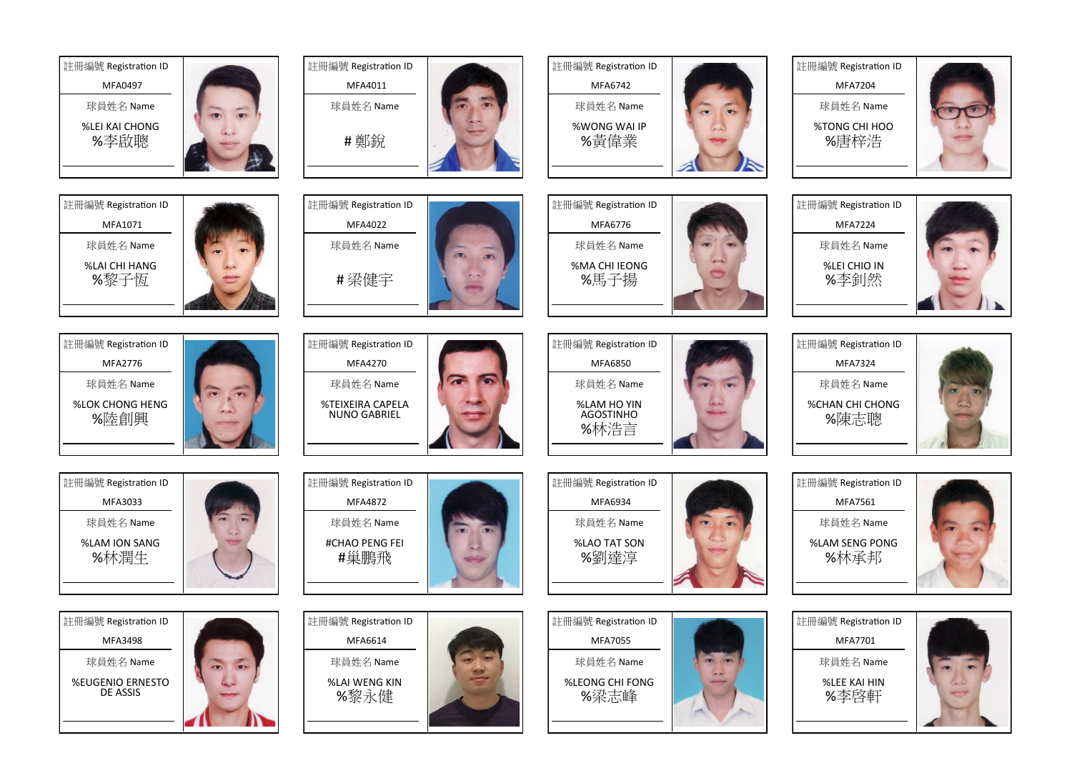